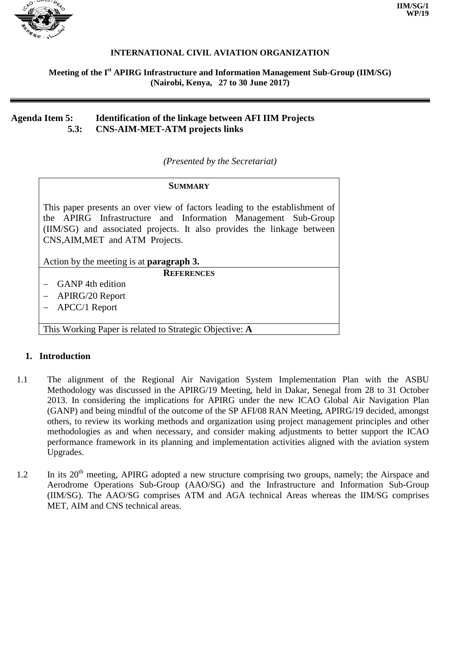

### **INTERNATIONAL CIVIL AVIATION ORGANIZATION**

### **Meeting of the I st APIRG Infrastructure and Information Management Sub-Group (IIM/SG) (Nairobi, Kenya, 27 to 30 June 2017)**

## **Agenda Item 5: Identification of the linkage between AFI IIM Projects 5.3: CNS-AIM-MET-ATM projects links**

*(Presented by the Secretariat)*

# **SUMMARY** This paper presents an over view of factors leading to the establishment of the APIRG Infrastructure and Information Management Sub-Group (IIM/SG) and associated projects. It also provides the linkage between CNS,AIM,MET and ATM Projects. Action by the meeting is at **paragraph 3. REFERENCES** − GANP 4th edition − APIRG/20 Report − APCC/1 Report

This Working Paper is related to Strategic Objective: **A**

## **1. Introduction**

- 1.1 The alignment of the Regional Air Navigation System Implementation Plan with the ASBU Methodology was discussed in the APIRG/19 Meeting, held in Dakar, Senegal from 28 to 31 October 2013. In considering the implications for APIRG under the new ICAO Global Air Navigation Plan (GANP) and being mindful of the outcome of the SP AFI/08 RAN Meeting, APIRG/19 decided, amongst others, to review its working methods and organization using project management principles and other methodologies as and when necessary, and consider making adjustments to better support the ICAO performance framework in its planning and implementation activities aligned with the aviation system Upgrades.
- 1.2 In its 20<sup>th</sup> meeting, APIRG adopted a new structure comprising two groups, namely; the Airspace and Aerodrome Operations Sub-Group (AAO/SG) and the Infrastructure and Information Sub-Group (IIM/SG). The AAO/SG comprises ATM and AGA technical Areas whereas the IIM/SG comprises MET, AIM and CNS technical areas.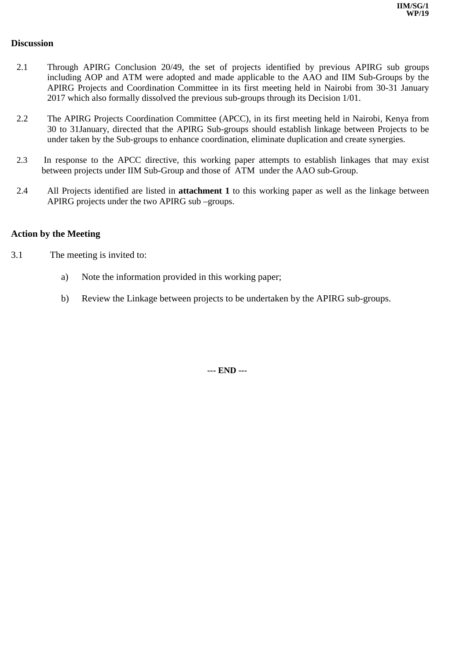### **Discussion**

- 2.1 Through APIRG Conclusion 20/49, the set of projects identified by previous APIRG sub groups including AOP and ATM were adopted and made applicable to the AAO and IIM Sub-Groups by the APIRG Projects and Coordination Committee in its first meeting held in Nairobi from 30-31 January 2017 which also formally dissolved the previous sub-groups through its Decision 1/01.
- 2.2 The APIRG Projects Coordination Committee (APCC), in its first meeting held in Nairobi, Kenya from 30 to 31January, directed that the APIRG Sub-groups should establish linkage between Projects to be under taken by the Sub-groups to enhance coordination, eliminate duplication and create synergies.
- 2.3 In response to the APCC directive, this working paper attempts to establish linkages that may exist between projects under IIM Sub-Group and those of ATM under the AAO sub-Group.
- 2.4 All Projects identified are listed in **attachment 1** to this working paper as well as the linkage between APIRG projects under the two APIRG sub –groups.

## **Action by the Meeting**

- 3.1 The meeting is invited to:
	- a) Note the information provided in this working paper;
	- b) Review the Linkage between projects to be undertaken by the APIRG sub-groups.

**--- END ---**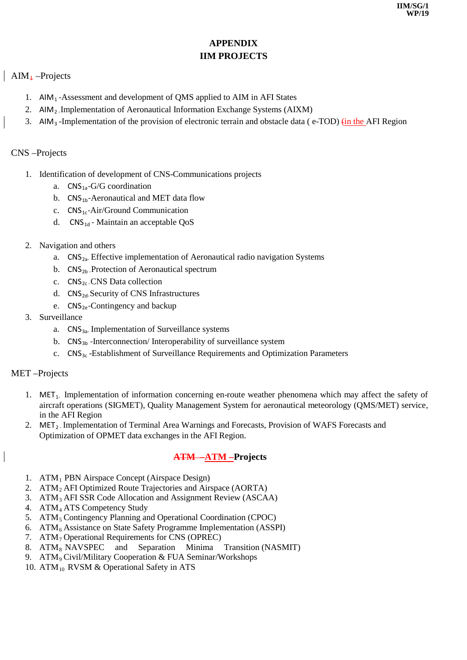# **APPENDIX IIM PROJECTS**

# $AM_4$  –Projects

- 1.  $AlM<sub>1</sub>$ -Assessment and development of QMS applied to AIM in AFI States
- 2. AIM<sub>2</sub> Implementation of Aeronautical Information Exchange Systems (AIXM)
- 3. AIM<sub>3</sub> -Implementation of the provision of electronic terrain and obstacle data ( $e$ -TOD) (in the AFI Region

# CNS –Projects

- 1. Identification of development of CNS-Communications projects
	- a.  $CNS_{1a}$ -G/G coordination
	- b.  $CNS<sub>1b</sub>$ -Aeronautical and MET data flow
	- c. CNS1c-Air/Ground Communication
	- d.  $CNS_{1d}$  Maintain an acceptable QoS
- 2. Navigation and others
	- a.  $\text{CNS}_{2a}$  Effective implementation of Aeronautical radio navigation Systems
	- b.  $CNS<sub>2b</sub>$  -Protection of Aeronautical spectrum
	- c.  $CNS<sub>2c</sub>$  CNS Data collection
	- d.  $CNS<sub>2d</sub>$ -Security of CNS Infrastructures
	- e.  $CNS<sub>2e</sub>$ -Contingency and backup
- 3. Surveillance
	- a.  $CNS<sub>3a</sub>$  Implementation of Surveillance systems
	- b.  $CNS<sub>3b</sub>$ -Interconnection/Interoperability of surveillance system
	- c. CNS3c -Establishment of Surveillance Requirements and Optimization Parameters

## MET –Projects

- 1. MET<sub>1</sub>. Implementation of information concerning en-route weather phenomena which may affect the safety of aircraft operations (SIGMET), Quality Management System for aeronautical meteorology (QMS/MET) service, in the AFI Region
- 2. MET<sub>2</sub>. Implementation of Terminal Area Warnings and Forecasts, Provision of WAFS Forecasts and Optimization of OPMET data exchanges in the AFI Region.

# **ATM –ATM –Projects**

- 1. ATM1 PBN Airspace Concept (Airspace Design)
- 2. ATM2 AFI Optimized Route Trajectories and Airspace (AORTA)
- 3. ATM3 AFI SSR Code Allocation and Assignment Review (ASCAA)
- 4. ATM4 ATS Competency Study
- 5. ATM<sub>5</sub> Contingency Planning and Operational Coordination (CPOC)
- 6. ATM6 Assistance on State Safety Programme Implementation (ASSPI)
- 7.  $ATM<sub>7</sub>$  Operational Requirements for CNS (OPREC)<br>8.  $ATM<sub>8</sub>$  NAVSPEC and Separation Minima
- 8. ATM<sub>8</sub> NAVSPEC and Separation Minima Transition (NASMIT)
- 9. ATM<sub>9</sub> Civil/Military Cooperation & FUA Seminar/Workshops
- 10. ATM $_{10}$  RVSM & Operational Safety in ATS